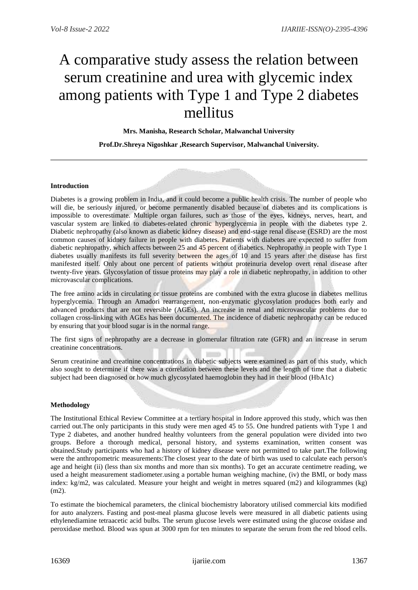# A comparative study assess the relation between serum creatinine and urea with glycemic index among patients with Type 1 and Type 2 diabetes mellitus

**Mrs. Manisha, Research Scholar, Malwanchal University**

**Prof.Dr.Shreya Nigoshkar ,Research Supervisor, Malwanchal University.**

# **Introduction**

Diabetes is a growing problem in India, and it could become a public health crisis. The number of people who will die, be seriously injured, or become permanently disabled because of diabetes and its complications is impossible to overestimate. Multiple organ failures, such as those of the eyes, kidneys, nerves, heart, and vascular system are linked to diabetes-related chronic hyperglycemia in people with the diabetes type 2. Diabetic nephropathy (also known as diabetic kidney disease) and end-stage renal disease (ESRD) are the most common causes of kidney failure in people with diabetes. Patients with diabetes are expected to suffer from diabetic nephropathy, which affects between 25 and 45 percent of diabetics. Nephropathy in people with Type 1 diabetes usually manifests its full severity between the ages of 10 and 15 years after the disease has first manifested itself. Only about one percent of patients without proteinuria develop overt renal disease after twenty-five years. Glycosylation of tissue proteins may play a role in diabetic nephropathy, in addition to other microvascular complications.

The free amino acids in circulating or tissue proteins are combined with the extra glucose in diabetes mellitus hyperglycemia. Through an Amadori rearrangement, non-enzymatic glycosylation produces both early and advanced products that are not reversible (AGEs). An increase in renal and microvascular problems due to collagen cross-linking with AGEs has been documented. The incidence of diabetic nephropathy can be reduced by ensuring that your blood sugar is in the normal range.

The first signs of nephropathy are a decrease in glomerular filtration rate (GFR) and an increase in serum creatinine concentrations.

Serum creatinine and creatinine concentrations in diabetic subjects were examined as part of this study, which also sought to determine if there was a correlation between these levels and the length of time that a diabetic subject had been diagnosed or how much glycosylated haemoglobin they had in their blood (HbA1c)

# **Methodology**

The Institutional Ethical Review Committee at a tertiary hospital in Indore approved this study, which was then carried out.The only participants in this study were men aged 45 to 55. One hundred patients with Type 1 and Type 2 diabetes, and another hundred healthy volunteers from the general population were divided into two groups. Before a thorough medical, personal history, and systems examination, written consent was obtained.Study participants who had a history of kidney disease were not permitted to take part.The following were the anthropometric measurements:The closest year to the date of birth was used to calculate each person's age and height (ii) (less than six months and more than six months). To get an accurate centimetre reading, we used a height measurement stadiometer.using a portable human weighing machine, (iv) the BMI, or body mass index: kg/m2, was calculated. Measure your height and weight in metres squared (m2) and kilogrammes (kg) (m2).

To estimate the biochemical parameters, the clinical biochemistry laboratory utilised commercial kits modified for auto analyzers. Fasting and post-meal plasma glucose levels were measured in all diabetic patients using ethylenediamine tetraacetic acid bulbs. The serum glucose levels were estimated using the glucose oxidase and peroxidase method. Blood was spun at 3000 rpm for ten minutes to separate the serum from the red blood cells.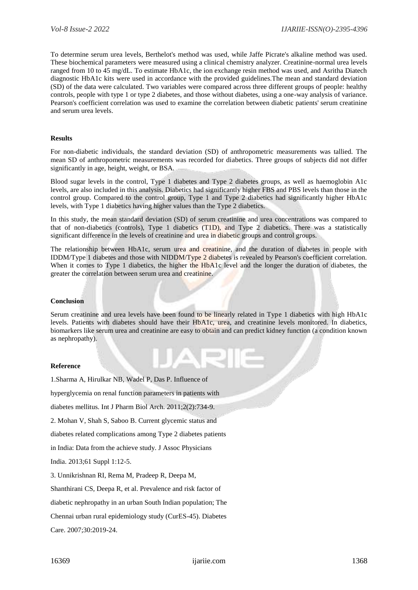To determine serum urea levels, Berthelot's method was used, while Jaffe Picrate's alkaline method was used. These biochemical parameters were measured using a clinical chemistry analyzer. Creatinine-normal urea levels ranged from 10 to 45 mg/dL. To estimate HbA1c, the ion exchange resin method was used, and Asritha Diatech diagnostic HbA1c kits were used in accordance with the provided guidelines.The mean and standard deviation (SD) of the data were calculated. Two variables were compared across three different groups of people: healthy controls, people with type 1 or type 2 diabetes, and those without diabetes, using a one-way analysis of variance. Pearson's coefficient correlation was used to examine the correlation between diabetic patients' serum creatinine and serum urea levels.

# **Results**

For non-diabetic individuals, the standard deviation (SD) of anthropometric measurements was tallied. The mean SD of anthropometric measurements was recorded for diabetics. Three groups of subjects did not differ significantly in age, height, weight, or BSA.

Blood sugar levels in the control, Type 1 diabetes and Type 2 diabetes groups, as well as haemoglobin A1c levels, are also included in this analysis. Diabetics had significantly higher FBS and PBS levels than those in the control group. Compared to the control group, Type 1 and Type 2 diabetics had significantly higher HbA1c levels, with Type 1 diabetics having higher values than the Type 2 diabetics.

In this study, the mean standard deviation (SD) of serum creatinine and urea concentrations was compared to that of non-diabetics (controls), Type 1 diabetics (T1D), and Type 2 diabetics. There was a statistically significant difference in the levels of creatinine and urea in diabetic groups and control groups.

The relationship between HbA1c, serum urea and creatinine, and the duration of diabetes in people with IDDM/Type 1 diabetes and those with NIDDM/Type 2 diabetes is revealed by Pearson's coefficient correlation. When it comes to Type 1 diabetics, the higher the HbA1c level and the longer the duration of diabetes, the greater the correlation between serum urea and creatinine.

# **Conclusion**

Serum creatinine and urea levels have been found to be linearly related in Type 1 diabetics with high HbA1c levels. Patients with diabetes should have their HbA1c, urea, and creatinine levels monitored. In diabetics, biomarkers like serum urea and creatinine are easy to obtain and can predict kidney function (a condition known as nephropathy).

# **Reference**

1.Sharma A, Hirulkar NB, Wadel P, Das P. Influence of

hyperglycemia on renal function parameters in patients with

diabetes mellitus. Int J Pharm Biol Arch. 2011;2(2):734-9.

2. Mohan V, Shah S, Saboo B. Current glycemic status and

diabetes related complications among Type 2 diabetes patients

in India: Data from the achieve study. J Assoc Physicians

India. 2013;61 Suppl 1:12-5.

3. Unnikrishnan RI, Rema M, Pradeep R, Deepa M,

Shanthirani CS, Deepa R, et al. Prevalence and risk factor of

diabetic nephropathy in an urban South Indian population; The

Chennai urban rural epidemiology study (CurES-45). Diabetes

Care. 2007;30:2019-24.